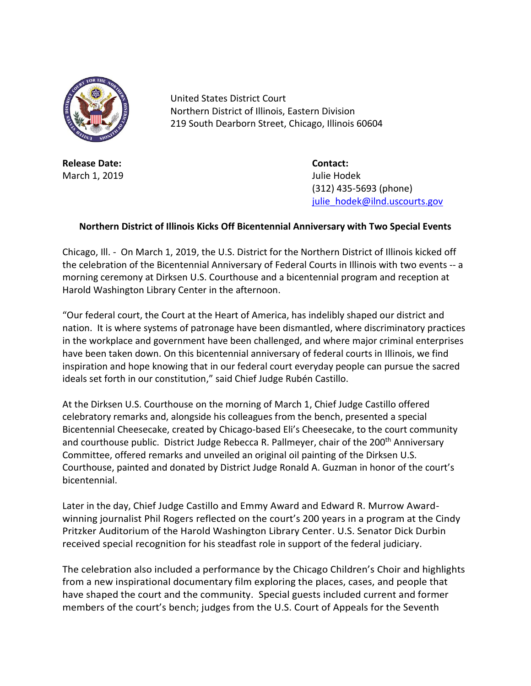

United States District Court Northern District of Illinois, Eastern Division 219 South Dearborn Street, Chicago, Illinois 60604

**Release Date: Contact:** March 1, 2019 **March 1, 2019 Julie Hodek** 

(312) 435-5693 (phone) [julie\\_hodek@ilnd.uscourts.gov](mailto:julie_hodek@ilnd.uscourts.gov)

## **Northern District of Illinois Kicks Off Bicentennial Anniversary with Two Special Events**

Chicago, Ill. - On March 1, 2019, the U.S. District for the Northern District of Illinois kicked off the celebration of the Bicentennial Anniversary of Federal Courts in Illinois with two events -- a morning ceremony at Dirksen U.S. Courthouse and a bicentennial program and reception at Harold Washington Library Center in the afternoon.

"Our federal court, the Court at the Heart of America, has indelibly shaped our district and nation. It is where systems of patronage have been dismantled, where discriminatory practices in the workplace and government have been challenged, and where major criminal enterprises have been taken down. On this bicentennial anniversary of federal courts in Illinois, we find inspiration and hope knowing that in our federal court everyday people can pursue the sacred ideals set forth in our constitution," said Chief Judge Rubén Castillo.

At the Dirksen U.S. Courthouse on the morning of March 1, Chief Judge Castillo offered celebratory remarks and, alongside his colleagues from the bench, presented a special Bicentennial Cheesecake, created by Chicago-based Eli's Cheesecake, to the court community and courthouse public. District Judge Rebecca R. Pallmeyer, chair of the 200<sup>th</sup> Anniversary Committee, offered remarks and unveiled an original oil painting of the Dirksen U.S. Courthouse, painted and donated by District Judge Ronald A. Guzman in honor of the court's bicentennial.

Later in the day, Chief Judge Castillo and Emmy Award and Edward R. Murrow Awardwinning journalist Phil Rogers reflected on the court's 200 years in a program at the Cindy Pritzker Auditorium of the Harold Washington Library Center. U.S. Senator Dick Durbin received special recognition for his steadfast role in support of the federal judiciary.

The celebration also included a performance by the Chicago Children's Choir and highlights from a new inspirational documentary film exploring the places, cases, and people that have shaped the court and the community. Special guests included current and former members of the court's bench; judges from the U.S. Court of Appeals for the Seventh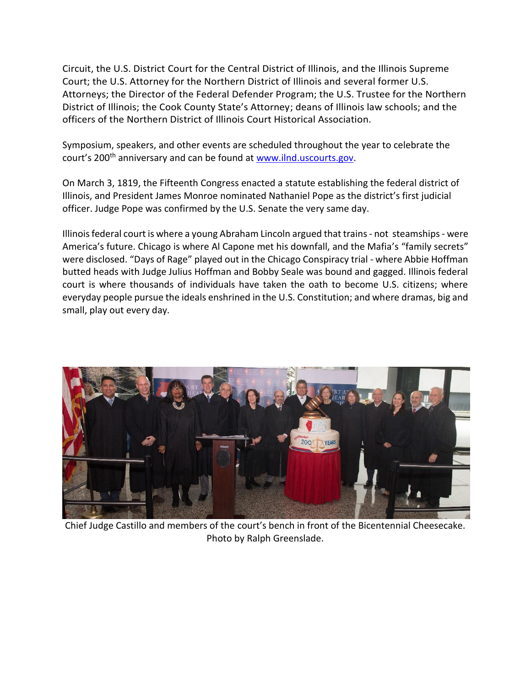Circuit, the U.S. District Court for the Central District of Illinois, and the Illinois Supreme Court; the U.S. Attorney for the Northern District of Illinois and several former U.S. Attorneys; the Director of the Federal Defender Program; the U.S. Trustee for the Northern District of Illinois; the Cook County State's Attorney; deans of Illinois law schools; and the officers of the Northern District of Illinois Court Historical Association.

Symposium, speakers, and other events are scheduled throughout the year to celebrate the court's 200<sup>th</sup> anniversary and can be found at [www.ilnd.uscourts.gov.](www.ilnd.uscourts.gov)

On March 3, 1819, the Fifteenth Congress enacted a statute establishing the federal district of Illinois, and President James Monroe nominated Nathaniel Pope as the district's first judicial officer. Judge Pope was confirmed by the U.S. Senate the very same day.

Illinois federal court is where a young Abraham Lincoln argued that trains - not steamships - were America's future. Chicago is where Al Capone met his downfall, and the Mafia's "family secrets" were disclosed. "Days of Rage" played out in the Chicago Conspiracy trial - where Abbie Hoffman butted heads with Judge Julius Hoffman and Bobby Seale was bound and gagged. Illinois federal court is where thousands of individuals have taken the oath to become U.S. citizens; where everyday people pursue the ideals enshrined in the U.S. Constitution; and where dramas, big and small, play out every day.



Chief Judge Castillo and members of the court's bench in front of the Bicentennial Cheesecake. Photo by Ralph Greenslade.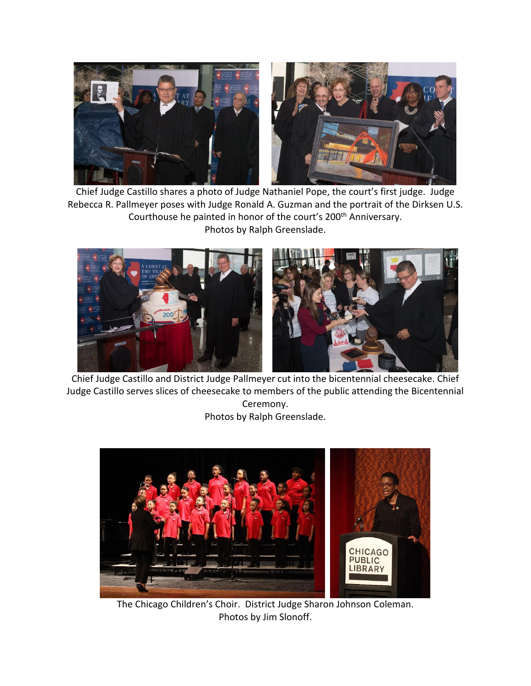

Chief Judge Castillo shares a photo of Judge Nathaniel Pope, the court's first judge. Judge Rebecca R. Pallmeyer poses with Judge Ronald A. Guzman and the portrait of the Dirksen U.S. Courthouse he painted in honor of the court's 200<sup>th</sup> Anniversary. Photos by Ralph Greenslade.



Chief Judge Castillo and District Judge Pallmeyer cut into the bicentennial cheesecake. Chief Judge Castillo serves slices of cheesecake to members of the public attending the Bicentennial Ceremony. Photos by Ralph Greenslade.



The Chicago Children's Choir. District Judge Sharon Johnson Coleman. Photos by Jim Slonoff.